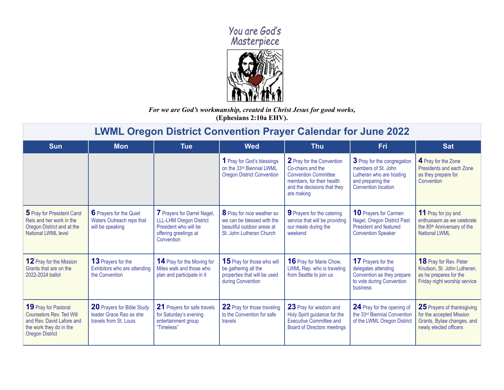## You are God's<br>Masterpiece



*For we are God's workmanship, created in Christ Jesus for good works,* **(Ephesians 2:10a EHV).**

## **LWML Oregon District Convention Prayer Calendar for June 2022**

| <b>Sun</b>                                                                                                                                | <b>Mon</b>                                                                             | <b>Tue</b>                                                                                                                    | <b>Wed</b>                                                                                                         | <b>Thu</b>                                                                                                                                              | Fri                                                                                                                               | <b>Sat</b>                                                                                                                  |
|-------------------------------------------------------------------------------------------------------------------------------------------|----------------------------------------------------------------------------------------|-------------------------------------------------------------------------------------------------------------------------------|--------------------------------------------------------------------------------------------------------------------|---------------------------------------------------------------------------------------------------------------------------------------------------------|-----------------------------------------------------------------------------------------------------------------------------------|-----------------------------------------------------------------------------------------------------------------------------|
|                                                                                                                                           |                                                                                        |                                                                                                                               | 1 Pray for God's blessings<br>on the 33rd Biennial LWML<br><b>Oregon District Convention</b>                       | 2 Pray for the Convention<br>Co-chairs and the<br><b>Convention Committee</b><br>members, for their health<br>and the decisions that they<br>are making | 3 Pray for the congregation<br>members of St. John<br>Lutheran who are hosting<br>and preparing the<br><b>Convention location</b> | 4 Pray for the Zone<br>Presidents and each Zone<br>as they prepare for<br>Convention                                        |
| 5 Pray for President Carol<br>Reis and her work in the<br>Oregon District and at the<br><b>National LWML level</b>                        | 6 Prayers for the Quiet<br>Waters Outreach reps that<br>will be speaking               | 7 Prayers for Darrel Nagel,<br><b>LLL-LHM Oregon District</b><br>President who will be<br>offering greetings at<br>Convention | 8 Pray for nice weather so<br>we can be blessed with the<br>beautiful outdoor areas at<br>St. John Lutheran Church | <b>9</b> Prayers for the catering<br>service that will be providing<br>our meals during the<br>weekend                                                  | <b>10 Prayers for Carmen</b><br>Nagel, Oregon District Past<br><b>President and featured</b><br><b>Convention Speaker</b>         | <b>11</b> Pray for joy and<br>enthusiasm as we celebrate<br>the 80 <sup>th</sup> Anniversary of the<br><b>National LWML</b> |
| <b>12</b> Pray for the Mission<br>Grants that are on the<br>2022-2024 ballot                                                              | <b>13</b> Prayers for the<br>Exhibitors who are attending<br>the Convention            | <b>14</b> Pray for the Moving for<br>Mites walk and those who<br>plan and participate in it                                   | 15 Pray for those who will<br>be gathering all the<br>properties that will be used<br>during Convention            | <b>16</b> Pray for Marie Chow,<br>LWML Rep. who is traveling<br>from Seattle to join us                                                                 | 17 Prayers for the<br>delegates attending<br>Convention as they prepare<br>to vote during Convention<br>business                  | <b>18</b> Pray for Rev. Peter<br>Knutson, St. John Lutheran,<br>as he prepares for the<br>Friday night worship service      |
| 19 Pray for Pastoral<br><b>Counselors Rev. Ted Will</b><br>and Rev. David Lafore and<br>the work they do in the<br><b>Oregon District</b> | <b>20</b> Prayers for Bible Study<br>leader Grace Rao as she<br>travels from St. Louis | 21 Prayers for safe travels<br>for Saturday's evening<br>entertainment group<br>"Timeless"                                    | 22 Pray for those traveling<br>to the Convention for safe<br>travels                                               | 23 Pray for wisdom and<br>Holy Spirit guidance for the<br><b>Executive Committee and</b><br><b>Board of Directors meetings</b>                          | 24 Pray for the opening of<br>the 33rd Biennial Convention<br>of the LWML Oregon District                                         | 25 Prayers of thanksgiving<br>for the accepted Mission<br>Grants, Bylaw changes, and<br>newly elected officers              |